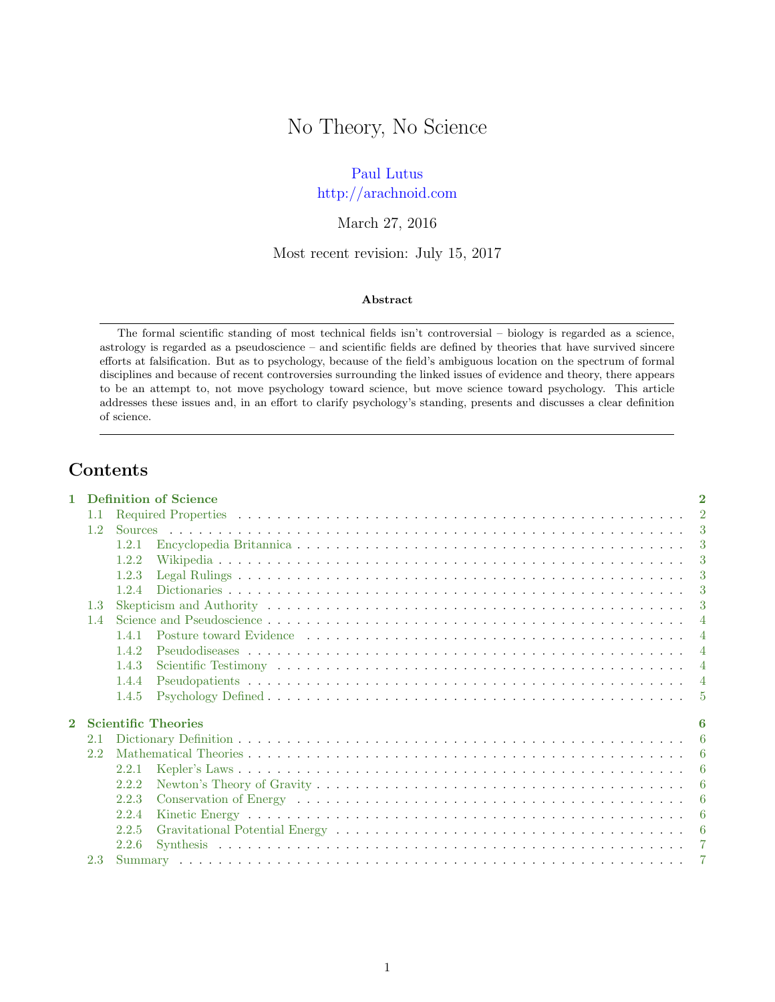# No Theory, No Science

## [Paul Lutus](http://arachnoid.com/administration)

## <http://arachnoid.com>

## March 27, 2016

### Most recent revision: July 15, 2017

#### Abstract

The formal scientific standing of most technical fields isn't controversial – biology is regarded as a science, astrology is regarded as a pseudoscience – and scientific fields are defined by theories that have survived sincere efforts at falsification. But as to psychology, because of the field's ambiguous location on the spectrum of formal disciplines and because of recent controversies surrounding the linked issues of evidence and theory, there appears to be an attempt to, not move psychology toward science, but move science toward psychology. This article addresses these issues and, in an effort to clarify psychology's standing, presents and discusses a clear definition of science.

# Contents

| 1.               |                  | Definition of Science<br>$\overline{2}$ |                |  |  |  |  |
|------------------|------------------|-----------------------------------------|----------------|--|--|--|--|
|                  | 1.1              |                                         | $\mathcal{D}$  |  |  |  |  |
| 1.2 <sub>1</sub> |                  |                                         |                |  |  |  |  |
|                  |                  | 1.2.1                                   | -3             |  |  |  |  |
|                  |                  | 1.2.2                                   | $\mathcal{R}$  |  |  |  |  |
|                  |                  | 1.2.3                                   | -3             |  |  |  |  |
|                  |                  | 1.2.4                                   | $\mathcal{R}$  |  |  |  |  |
|                  | 1.3 <sup>7</sup> |                                         | -3             |  |  |  |  |
|                  | 1.4              |                                         | $\overline{4}$ |  |  |  |  |
|                  |                  | 1.4.1                                   | $\overline{4}$ |  |  |  |  |
|                  |                  | 1.4.2                                   | $\overline{4}$ |  |  |  |  |
|                  |                  | 1.4.3                                   | $\overline{4}$ |  |  |  |  |
|                  |                  | 1.4.4                                   | $\overline{4}$ |  |  |  |  |
|                  |                  | 1.4.5                                   | -5             |  |  |  |  |
| $\bf{2}$         |                  | <b>Scientific Theories</b>              | 6              |  |  |  |  |
|                  | 2.1              |                                         | -6             |  |  |  |  |
|                  | $2.2^{\circ}$    |                                         | -6             |  |  |  |  |
|                  |                  | 2.2.1                                   | -6             |  |  |  |  |
|                  |                  | 2.2.2                                   | -6             |  |  |  |  |
|                  |                  | 2.2.3                                   | -6             |  |  |  |  |
|                  |                  | 2.2.4                                   | -6             |  |  |  |  |
|                  |                  | 2.2.5                                   | -6             |  |  |  |  |
|                  |                  | 2.2.6                                   | $\overline{7}$ |  |  |  |  |
|                  | 2.3              |                                         | $\overline{7}$ |  |  |  |  |
|                  |                  |                                         |                |  |  |  |  |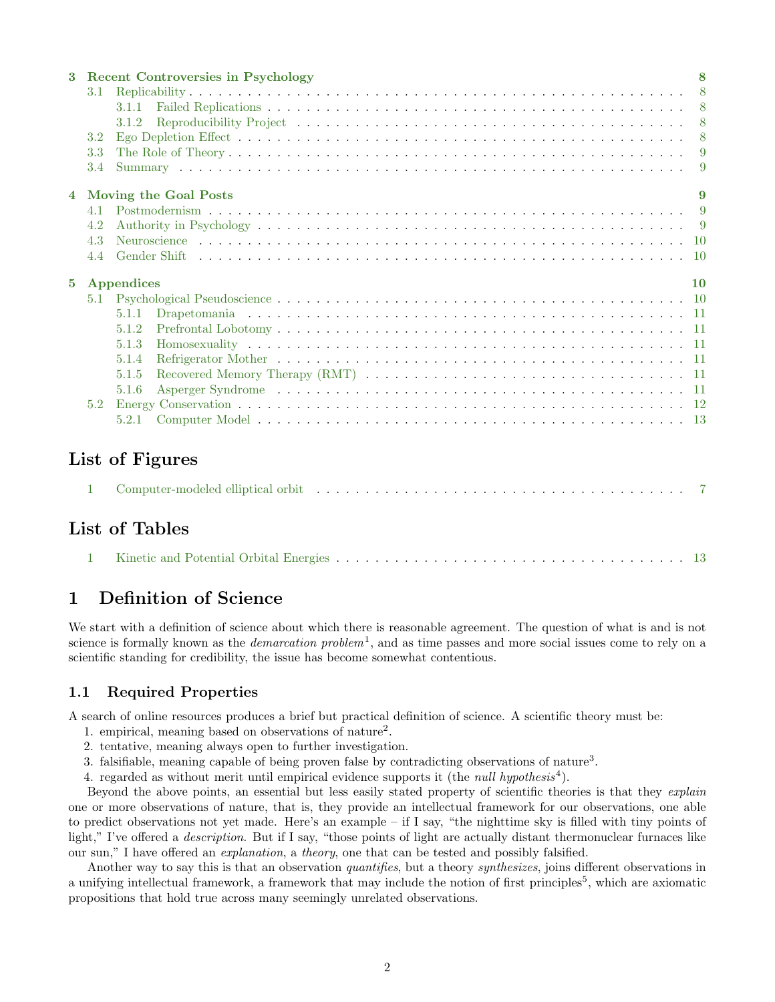| $\mathbf{3}$                                   |                    | <b>Recent Controversies in Psychology</b> |     |  |  |  |
|------------------------------------------------|--------------------|-------------------------------------------|-----|--|--|--|
|                                                | 3.1                |                                           |     |  |  |  |
|                                                |                    | 3.1.1                                     |     |  |  |  |
|                                                |                    | 3.1.2                                     |     |  |  |  |
|                                                | 3.2                |                                           | - 8 |  |  |  |
|                                                | 3.3                |                                           |     |  |  |  |
|                                                | 3.4                |                                           | - 9 |  |  |  |
| <b>Moving the Goal Posts</b><br>$\overline{4}$ |                    |                                           |     |  |  |  |
|                                                | 41                 |                                           |     |  |  |  |
|                                                | 4.2                |                                           |     |  |  |  |
|                                                | 4.3                |                                           |     |  |  |  |
|                                                | 4.4                |                                           |     |  |  |  |
|                                                | 5 Appendices<br>10 |                                           |     |  |  |  |
|                                                | 5.1                |                                           |     |  |  |  |
|                                                |                    | 5.1.1                                     |     |  |  |  |
|                                                |                    | 5.1.2                                     |     |  |  |  |
|                                                |                    | 5.1.3                                     |     |  |  |  |
|                                                |                    | 5.1.4                                     |     |  |  |  |
|                                                |                    | 5.1.5                                     |     |  |  |  |
|                                                |                    | 5.1.6                                     |     |  |  |  |
|                                                | 5.2                |                                           |     |  |  |  |
|                                                |                    | 5.2.1                                     |     |  |  |  |

# List of Figures

|  |  | Computer-modeled elliptical orbit (and solution of the set of the set of the set of the set of the set of the set of the set of the set of the set of the set of the set of the set of the set of the set of the set of the se |  |
|--|--|--------------------------------------------------------------------------------------------------------------------------------------------------------------------------------------------------------------------------------|--|
|--|--|--------------------------------------------------------------------------------------------------------------------------------------------------------------------------------------------------------------------------------|--|

# List of Tables

# <span id="page-1-0"></span>1 Definition of Science

We start with a definition of science about which there is reasonable agreement. The question of what is and is not science is formally known as the *demarcation problem*<sup>1</sup>, and as time passes and more social issues come to rely on a scientific standing for credibility, the issue has become somewhat contentious.

# <span id="page-1-1"></span>1.1 Required Properties

A search of online resources produces a brief but practical definition of science. A scientific theory must be:

- 1. empirical, meaning based on observations of nature<sup>2</sup> .
- 2. tentative, meaning always open to further investigation.
- 3. falsifiable, meaning capable of being proven false by contradicting observations of nature<sup>3</sup>.
- <span id="page-1-2"></span>4. regarded as without merit until empirical evidence supports it (the *null hypothesis*<sup>4</sup>).

Beyond the above points, an essential but less easily stated property of scientific theories is that they explain one or more observations of nature, that is, they provide an intellectual framework for our observations, one able to predict observations not yet made. Here's an example – if I say, "the nighttime sky is filled with tiny points of light," I've offered a *description*. But if I say, "those points of light are actually distant thermonuclear furnaces like our sun," I have offered an explanation, a theory, one that can be tested and possibly falsified.

Another way to say this is that an observation *quantifies*, but a theory *synthesizes*, joins different observations in a unifying intellectual framework, a framework that may include the notion of first principles<sup>5</sup>, which are axiomatic propositions that hold true across many seemingly unrelated observations.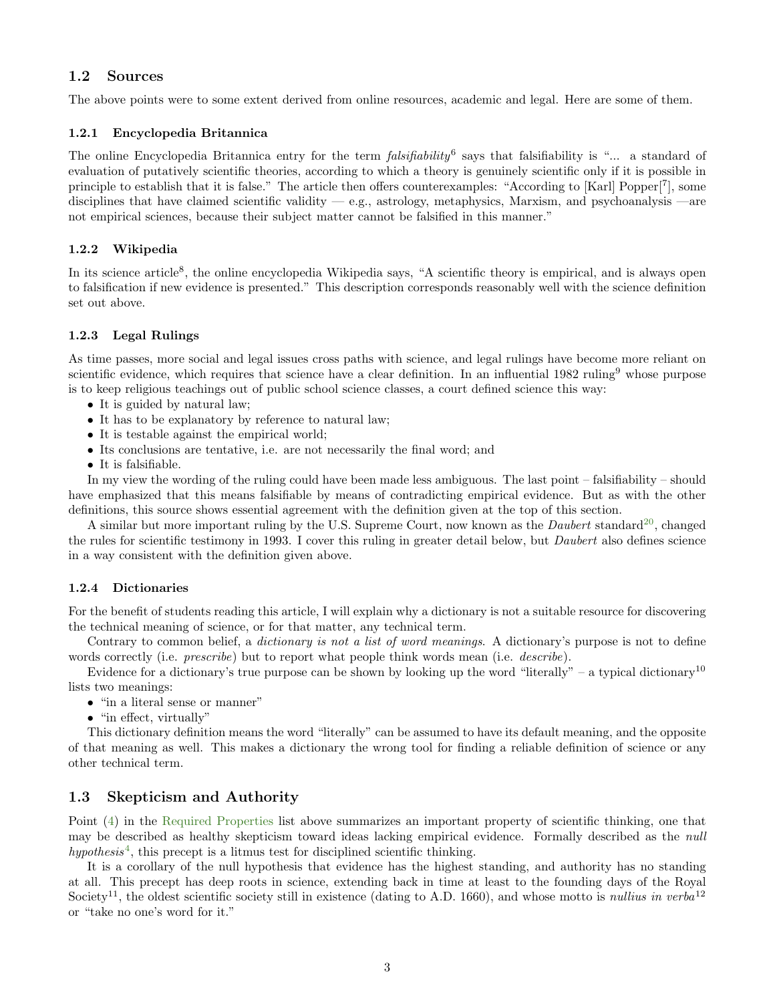### <span id="page-2-0"></span>1.2 Sources

The above points were to some extent derived from online resources, academic and legal. Here are some of them.

#### <span id="page-2-1"></span>1.2.1 Encyclopedia Britannica

The online Encyclopedia Britannica entry for the term  $\textit{falsifiability}$ <sup>6</sup> says that falsifiability is "... a standard of evaluation of putatively scientific theories, according to which a theory is genuinely scientific only if it is possible in principle to establish that it is false." The article then offers counterexamples: "According to [Karl] Popper[<sup>7</sup> ], some disciplines that have claimed scientific validity  $-$  e.g., astrology, metaphysics, Marxism, and psychoanalysis  $-$ are not empirical sciences, because their subject matter cannot be falsified in this manner."

#### <span id="page-2-2"></span>1.2.2 Wikipedia

In its science article<sup>8</sup>, the online encyclopedia Wikipedia says, "A scientific theory is empirical, and is always open to falsification if new evidence is presented." This description corresponds reasonably well with the science definition set out above.

#### <span id="page-2-3"></span>1.2.3 Legal Rulings

As time passes, more social and legal issues cross paths with science, and legal rulings have become more reliant on scientific evidence, which requires that science have a clear definition. In an influential 1982 ruling<sup>9</sup> whose purpose is to keep religious teachings out of public school science classes, a court defined science this way:

- It is guided by natural law;
- It has to be explanatory by reference to natural law;
- It is testable against the empirical world;
- Its conclusions are tentative, i.e. are not necessarily the final word; and
- It is falsifiable.

In my view the wording of the ruling could have been made less ambiguous. The last point – falsifiability – should have emphasized that this means falsifiable by means of contradicting empirical evidence. But as with the other definitions, this source shows essential agreement with the definition given at the top of this section.

A similar but more important ruling by the U.S. Supreme Court, now known as the *Daubert* standard<sup>[20](#page-13-0)</sup>, changed the rules for scientific testimony in 1993. I cover this ruling in greater detail below, but Daubert also defines science in a way consistent with the definition given above.

#### <span id="page-2-4"></span>1.2.4 Dictionaries

For the benefit of students reading this article, I will explain why a dictionary is not a suitable resource for discovering the technical meaning of science, or for that matter, any technical term.

Contrary to common belief, a *dictionary is not a list of word meanings*. A dictionary's purpose is not to define words correctly (i.e. *prescribe*) but to report what people think words mean (i.e. *describe*).

Evidence for a dictionary's true purpose can be shown by looking up the word "literally" – a typical dictionary<sup>10</sup> lists two meanings:

- "in a literal sense or manner"
- "in effect, virtually"

This dictionary definition means the word "literally" can be assumed to have its default meaning, and the opposite of that meaning as well. This makes a dictionary the wrong tool for finding a reliable definition of science or any other technical term.

## <span id="page-2-5"></span>1.3 Skepticism and Authority

Point [\(4\)](#page-1-2) in the [Required Properties](#page-1-1) list above summarizes an important property of scientific thinking, one that may be described as healthy skepticism toward ideas lacking empirical evidence. Formally described as the null  $hypothesis<sup>4</sup>$  $hypothesis<sup>4</sup>$  $hypothesis<sup>4</sup>$ , this precept is a litmus test for disciplined scientific thinking.

It is a corollary of the null hypothesis that evidence has the highest standing, and authority has no standing at all. This precept has deep roots in science, extending back in time at least to the founding days of the Royal Society<sup>11</sup>, the oldest scientific society still in existence (dating to A.D. 1660), and whose motto is *nullius in verba*<sup>12</sup> or "take no one's word for it."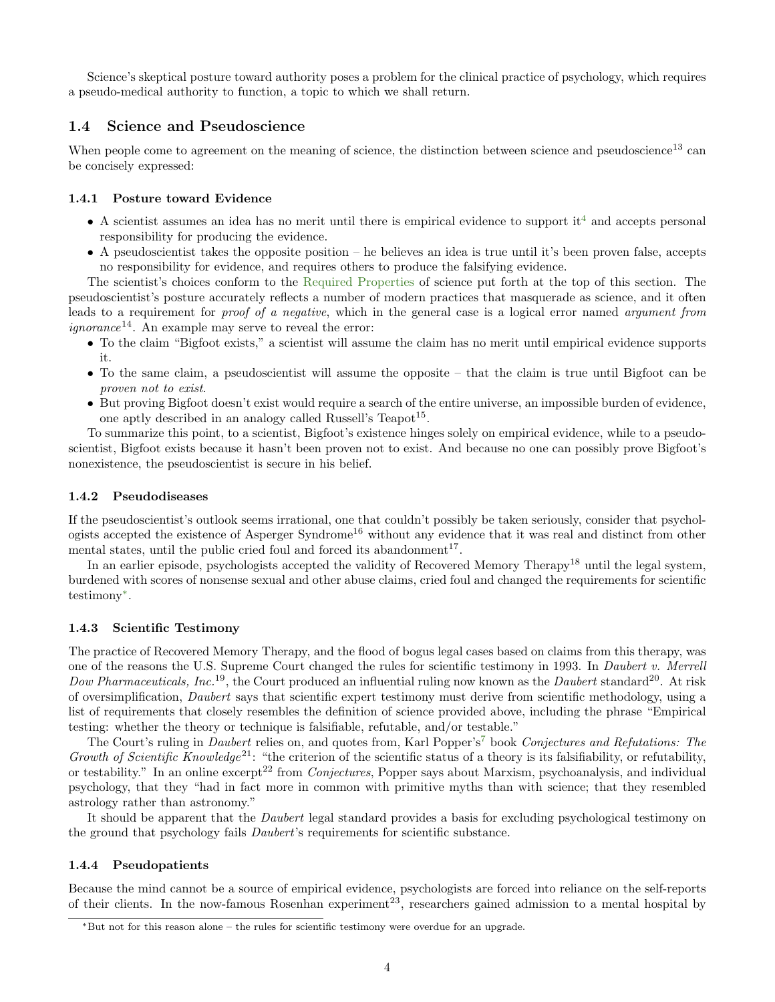Science's skeptical posture toward authority poses a problem for the clinical practice of psychology, which requires a pseudo-medical authority to function, a topic to which we shall return.

### <span id="page-3-0"></span>1.4 Science and Pseudoscience

When people come to agreement on the meaning of science, the distinction between science and pseudoscience<sup>13</sup> can be concisely expressed:

#### <span id="page-3-1"></span>1.4.1 Posture toward Evidence

- $\bullet$  A scientist assumes an idea has no merit until there is empirical evidence to support it<sup>[4](#page-13-0)</sup> and accepts personal responsibility for producing the evidence.
- A pseudoscientist takes the opposite position he believes an idea is true until it's been proven false, accepts no responsibility for evidence, and requires others to produce the falsifying evidence.

The scientist's choices conform to the [Required Properties](#page-1-1) of science put forth at the top of this section. The pseudoscientist's posture accurately reflects a number of modern practices that masquerade as science, and it often leads to a requirement for proof of a negative, which in the general case is a logical error named argument from *ignorance*<sup>14</sup>. An example may serve to reveal the error:

- To the claim "Bigfoot exists," a scientist will assume the claim has no merit until empirical evidence supports it.
- To the same claim, a pseudoscientist will assume the opposite that the claim is true until Bigfoot can be proven not to exist.
- But proving Bigfoot doesn't exist would require a search of the entire universe, an impossible burden of evidence, one aptly described in an analogy called Russell's Teapot<sup>15</sup>.

To summarize this point, to a scientist, Bigfoot's existence hinges solely on empirical evidence, while to a pseudoscientist, Bigfoot exists because it hasn't been proven not to exist. And because no one can possibly prove Bigfoot's nonexistence, the pseudoscientist is secure in his belief.

#### <span id="page-3-2"></span>1.4.2 Pseudodiseases

If the pseudoscientist's outlook seems irrational, one that couldn't possibly be taken seriously, consider that psychologists accepted the existence of Asperger Syndrome<sup>16</sup> without any evidence that it was real and distinct from other mental states, until the public cried foul and forced its abandonment<sup>17</sup>.

In an earlier episode, psychologists accepted the validity of Recovered Memory Therapy<sup>18</sup> until the legal system, burdened with scores of nonsense sexual and other abuse claims, cried foul and changed the requirements for scientific testimony[∗](#page-3-5) .

#### <span id="page-3-3"></span>1.4.3 Scientific Testimony

The practice of Recovered Memory Therapy, and the flood of bogus legal cases based on claims from this therapy, was one of the reasons the U.S. Supreme Court changed the rules for scientific testimony in 1993. In Daubert v. Merrell Dow Pharmaceuticals, Inc.<sup>19</sup>, the Court produced an influential ruling now known as the Daubert standard<sup>20</sup>. At risk of oversimplification, Daubert says that scientific expert testimony must derive from scientific methodology, using a list of requirements that closely resembles the definition of science provided above, including the phrase "Empirical testing: whether the theory or technique is falsifiable, refutable, and/or testable."

The Court's ruling in *Daubert* relies on, and quotes from, Karl Popper's<sup>[7](#page-13-0)</sup> book Conjectures and Refutations: The Growth of Scientific Knowledge<sup>21</sup>: "the criterion of the scientific status of a theory is its falsifiability, or refutability, or testability." In an online excerpt<sup>22</sup> from *Conjectures*, Popper says about Marxism, psychoanalysis, and individual psychology, that they "had in fact more in common with primitive myths than with science; that they resembled astrology rather than astronomy."

It should be apparent that the Daubert legal standard provides a basis for excluding psychological testimony on the ground that psychology fails Daubert's requirements for scientific substance.

#### <span id="page-3-4"></span>1.4.4 Pseudopatients

Because the mind cannot be a source of empirical evidence, psychologists are forced into reliance on the self-reports of their clients. In the now-famous Rosenhan experiment<sup>23</sup>, researchers gained admission to a mental hospital by

<span id="page-3-5"></span><sup>∗</sup>But not for this reason alone – the rules for scientific testimony were overdue for an upgrade.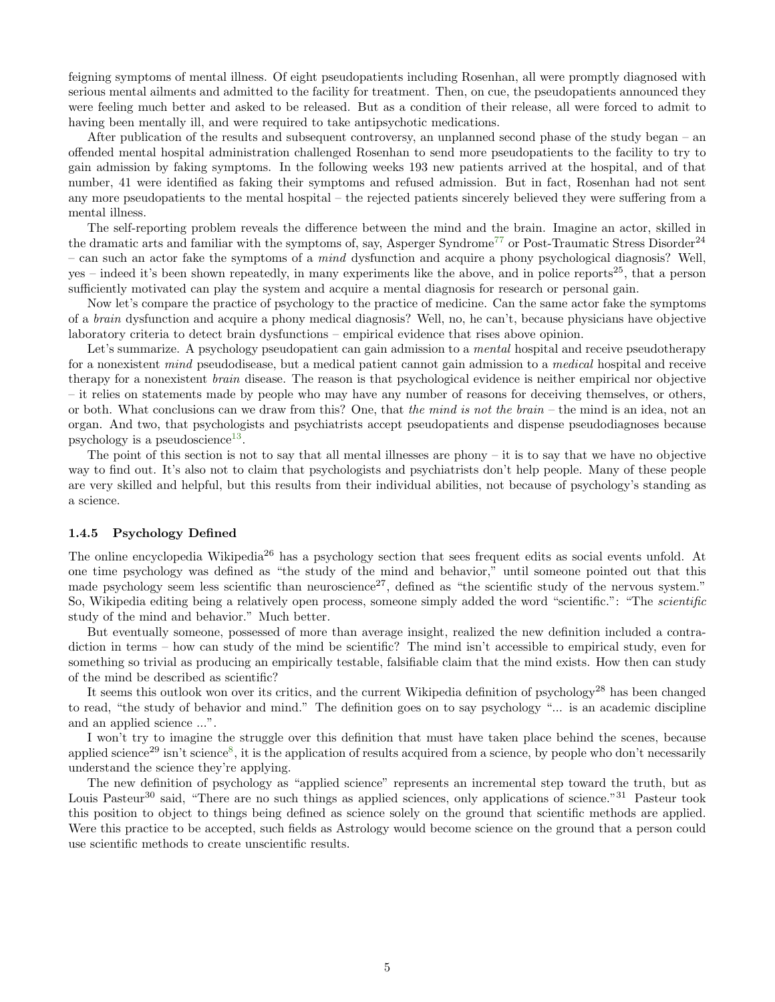feigning symptoms of mental illness. Of eight pseudopatients including Rosenhan, all were promptly diagnosed with serious mental ailments and admitted to the facility for treatment. Then, on cue, the pseudopatients announced they were feeling much better and asked to be released. But as a condition of their release, all were forced to admit to having been mentally ill, and were required to take antipsychotic medications.

After publication of the results and subsequent controversy, an unplanned second phase of the study began – an offended mental hospital administration challenged Rosenhan to send more pseudopatients to the facility to try to gain admission by faking symptoms. In the following weeks 193 new patients arrived at the hospital, and of that number, 41 were identified as faking their symptoms and refused admission. But in fact, Rosenhan had not sent any more pseudopatients to the mental hospital – the rejected patients sincerely believed they were suffering from a mental illness.

The self-reporting problem reveals the difference between the mind and the brain. Imagine an actor, skilled in the dramatic arts and familiar with the symptoms of, say, Asperger Syndrome<sup>[77](#page-13-0)</sup> or Post-Traumatic Stress Disorder<sup>24</sup> – can such an actor fake the symptoms of a mind dysfunction and acquire a phony psychological diagnosis? Well, yes – indeed it's been shown repeatedly, in many experiments like the above, and in police reports<sup>25</sup>, that a person sufficiently motivated can play the system and acquire a mental diagnosis for research or personal gain.

Now let's compare the practice of psychology to the practice of medicine. Can the same actor fake the symptoms of a brain dysfunction and acquire a phony medical diagnosis? Well, no, he can't, because physicians have objective laboratory criteria to detect brain dysfunctions – empirical evidence that rises above opinion.

Let's summarize. A psychology pseudopatient can gain admission to a *mental* hospital and receive pseudotherapy for a nonexistent mind pseudodisease, but a medical patient cannot gain admission to a medical hospital and receive therapy for a nonexistent brain disease. The reason is that psychological evidence is neither empirical nor objective – it relies on statements made by people who may have any number of reasons for deceiving themselves, or others, or both. What conclusions can we draw from this? One, that the mind is not the brain – the mind is an idea, not an organ. And two, that psychologists and psychiatrists accept pseudopatients and dispense pseudodiagnoses because psychology is a pseudoscience<sup>[13](#page-13-0)</sup>.

The point of this section is not to say that all mental illnesses are phony – it is to say that we have no objective way to find out. It's also not to claim that psychologists and psychiatrists don't help people. Many of these people are very skilled and helpful, but this results from their individual abilities, not because of psychology's standing as a science.

#### <span id="page-4-0"></span>1.4.5 Psychology Defined

The online encyclopedia Wikipedia<sup>26</sup> has a psychology section that sees frequent edits as social events unfold. At one time psychology was defined as "the study of the mind and behavior," until someone pointed out that this made psychology seem less scientific than neuroscience<sup>27</sup>, defined as "the scientific study of the nervous system." So, Wikipedia editing being a relatively open process, someone simply added the word "scientific.": "The *scientific* study of the mind and behavior." Much better.

But eventually someone, possessed of more than average insight, realized the new definition included a contradiction in terms – how can study of the mind be scientific? The mind isn't accessible to empirical study, even for something so trivial as producing an empirically testable, falsifiable claim that the mind exists. How then can study of the mind be described as scientific?

It seems this outlook won over its critics, and the current Wikipedia definition of psychology<sup>28</sup> has been changed to read, "the study of behavior and mind." The definition goes on to say psychology "... is an academic discipline and an applied science ...".

I won't try to imagine the struggle over this definition that must have taken place behind the scenes, because applied science<sup>29</sup> isn't science<sup>[8](#page-13-0)</sup>, it is the application of results acquired from a science, by people who don't necessarily understand the science they're applying.

The new definition of psychology as "applied science" represents an incremental step toward the truth, but as Louis Pasteur<sup>30</sup> said, "There are no such things as applied sciences, only applications of science."<sup>31</sup> Pasteur took this position to object to things being defined as science solely on the ground that scientific methods are applied. Were this practice to be accepted, such fields as Astrology would become science on the ground that a person could use scientific methods to create unscientific results.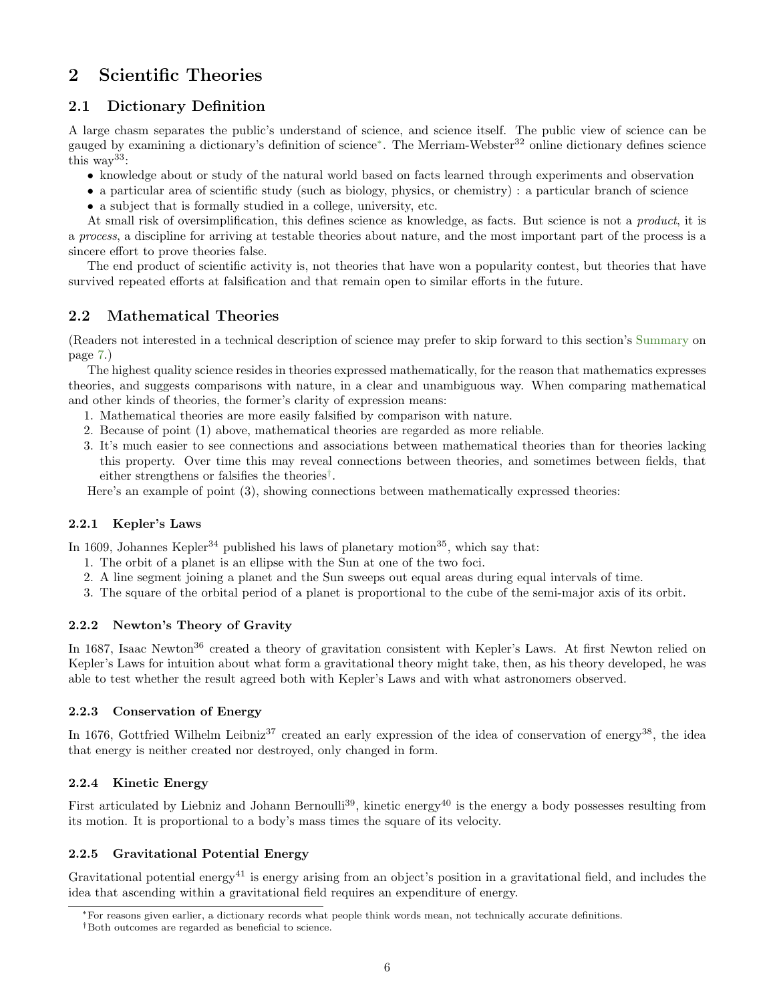# <span id="page-5-0"></span>2 Scientific Theories

## <span id="page-5-1"></span>2.1 Dictionary Definition

A large chasm separates the public's understand of science, and science itself. The public view of science can be gauged by examining a dictionary's definition of science<sup>[∗](#page-5-8)</sup>. The Merriam-Webster<sup>32</sup> online dictionary defines science this way33:

- knowledge about or study of the natural world based on facts learned through experiments and observation
- a particular area of scientific study (such as biology, physics, or chemistry) : a particular branch of science
- a subject that is formally studied in a college, university, etc.

At small risk of oversimplification, this defines science as knowledge, as facts. But science is not a *product*, it is a process, a discipline for arriving at testable theories about nature, and the most important part of the process is a sincere effort to prove theories false.

The end product of scientific activity is, not theories that have won a popularity contest, but theories that have survived repeated efforts at falsification and that remain open to similar efforts in the future.

## <span id="page-5-2"></span>2.2 Mathematical Theories

(Readers not interested in a technical description of science may prefer to skip forward to this section's [Summary](#page-6-1) on page [7.](#page-6-1))

The highest quality science resides in theories expressed mathematically, for the reason that mathematics expresses theories, and suggests comparisons with nature, in a clear and unambiguous way. When comparing mathematical and other kinds of theories, the former's clarity of expression means:

- 1. Mathematical theories are more easily falsified by comparison with nature.
- 2. Because of point (1) above, mathematical theories are regarded as more reliable.
- 3. It's much easier to see connections and associations between mathematical theories than for theories lacking this property. Over time this may reveal connections between theories, and sometimes between fields, that either strengthens or falsifies the theories[†](#page-5-9) .

Here's an example of point (3), showing connections between mathematically expressed theories:

## <span id="page-5-3"></span>2.2.1 Kepler's Laws

In 1609, Johannes Kepler<sup>34</sup> published his laws of planetary motion<sup>35</sup>, which say that:

- 1. The orbit of a planet is an ellipse with the Sun at one of the two foci.
- 2. A line segment joining a planet and the Sun sweeps out equal areas during equal intervals of time.
- 3. The square of the orbital period of a planet is proportional to the cube of the semi-major axis of its orbit.

#### <span id="page-5-4"></span>2.2.2 Newton's Theory of Gravity

In 1687, Isaac Newton<sup>36</sup> created a theory of gravitation consistent with Kepler's Laws. At first Newton relied on Kepler's Laws for intuition about what form a gravitational theory might take, then, as his theory developed, he was able to test whether the result agreed both with Kepler's Laws and with what astronomers observed.

#### <span id="page-5-5"></span>2.2.3 Conservation of Energy

In 1676, Gottfried Wilhelm Leibniz<sup>37</sup> created an early expression of the idea of conservation of energy<sup>38</sup>, the idea that energy is neither created nor destroyed, only changed in form.

## <span id="page-5-6"></span>2.2.4 Kinetic Energy

First articulated by Liebniz and Johann Bernoulli<sup>39</sup>, kinetic energy<sup>40</sup> is the energy a body possesses resulting from its motion. It is proportional to a body's mass times the square of its velocity.

## <span id="page-5-7"></span>2.2.5 Gravitational Potential Energy

Gravitational potential energy<sup>41</sup> is energy arising from an object's position in a gravitational field, and includes the idea that ascending within a gravitational field requires an expenditure of energy.

<span id="page-5-8"></span><sup>∗</sup>For reasons given earlier, a dictionary records what people think words mean, not technically accurate definitions.

<span id="page-5-9"></span><sup>†</sup>Both outcomes are regarded as beneficial to science.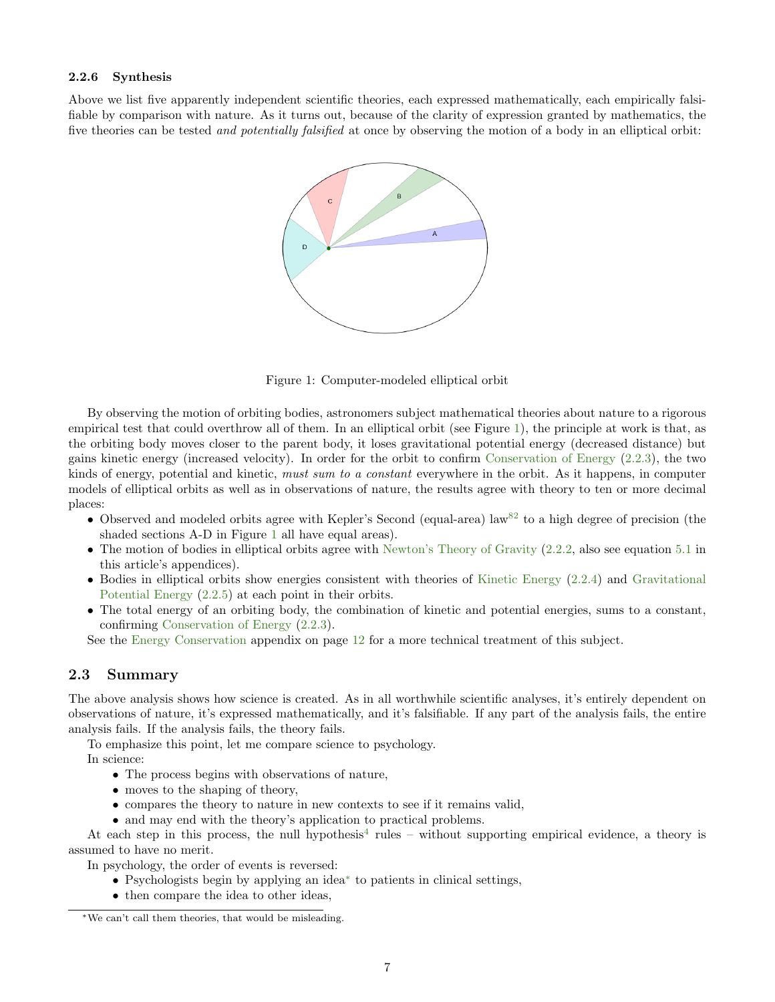#### <span id="page-6-0"></span>2.2.6 Synthesis

Above we list five apparently independent scientific theories, each expressed mathematically, each empirically falsifiable by comparison with nature. As it turns out, because of the clarity of expression granted by mathematics, the five theories can be tested *and potentially falsified* at once by observing the motion of a body in an elliptical orbit:



<span id="page-6-2"></span>Figure 1: Computer-modeled elliptical orbit

By observing the motion of orbiting bodies, astronomers subject mathematical theories about nature to a rigorous empirical test that could overthrow all of them. In an elliptical orbit (see Figure [1\)](#page-6-2), the principle at work is that, as the orbiting body moves closer to the parent body, it loses gravitational potential energy (decreased distance) but gains kinetic energy (increased velocity). In order for the orbit to confirm [Conservation of Energy](#page-5-5) [\(2.2.3\)](#page-5-5), the two kinds of energy, potential and kinetic, must sum to a constant everywhere in the orbit. As it happens, in computer models of elliptical orbits as well as in observations of nature, the results agree with theory to ten or more decimal places:

- Observed and modeled orbits agree with Kepler's Second (equal-area) law<sup>[82](#page-13-0)</sup> to a high degree of precision (the shaded sections A-D in Figure [1](#page-6-2) all have equal areas).
- The motion of bodies in elliptical orbits agree with [Newton's Theory of Gravity](#page-5-4) [\(2.2.2,](#page-5-4) also see equation [5.1](#page-11-1) in this article's appendices).
- Bodies in elliptical orbits show energies consistent with theories of [Kinetic Energy](#page-5-6) [\(2.2.4\)](#page-5-6) and [Gravitational](#page-5-7) [Potential Energy](#page-5-7) [\(2.2.5\)](#page-5-7) at each point in their orbits.
- The total energy of an orbiting body, the combination of kinetic and potential energies, sums to a constant, confirming [Conservation of Energy](#page-5-5) [\(2.2.3\)](#page-5-5).

See the [Energy Conservation](#page-11-0) appendix on page [12](#page-11-0) for a more technical treatment of this subject.

## <span id="page-6-1"></span>2.3 Summary

The above analysis shows how science is created. As in all worthwhile scientific analyses, it's entirely dependent on observations of nature, it's expressed mathematically, and it's falsifiable. If any part of the analysis fails, the entire analysis fails. If the analysis fails, the theory fails.

To emphasize this point, let me compare science to psychology.

In science:

- The process begins with observations of nature,
- moves to the shaping of theory,
- compares the theory to nature in new contexts to see if it remains valid,
- and may end with the theory's application to practical problems.

At each step in this process, the null hypothesis<sup>[4](#page-13-0)</sup> rules – without supporting empirical evidence, a theory is assumed to have no merit.

In psychology, the order of events is reversed:

- Psychologists begin by applying an idea[∗](#page-6-3) to patients in clinical settings,
- then compare the idea to other ideas,

<span id="page-6-3"></span><sup>∗</sup>We can't call them theories, that would be misleading.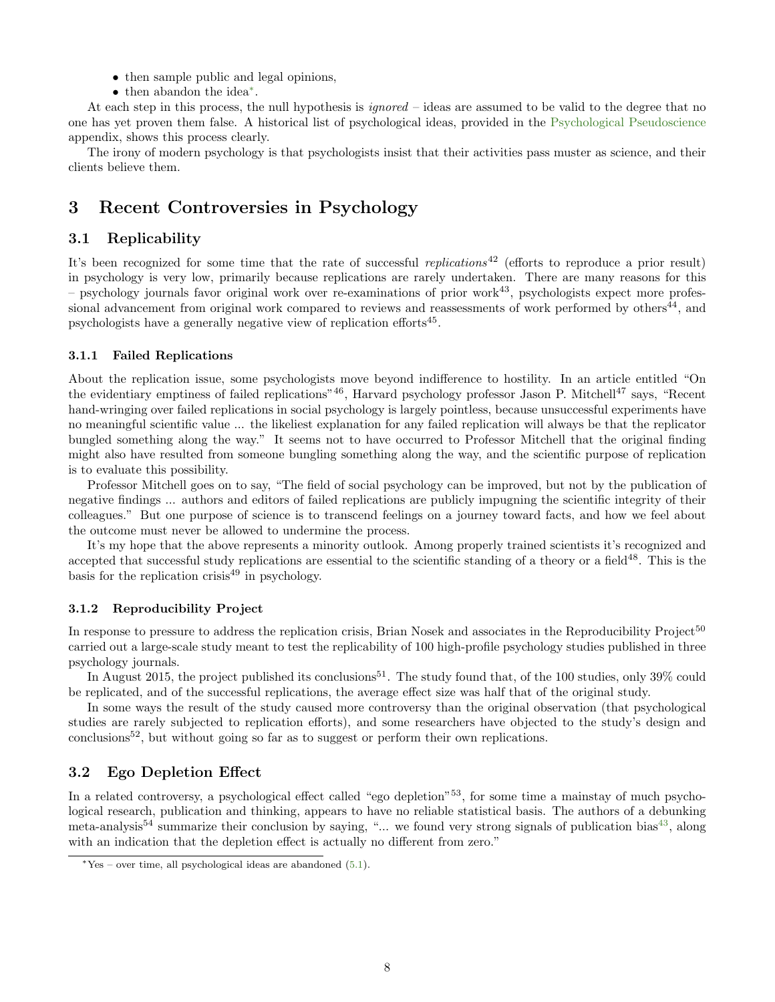- then sample public and legal opinions,
- then abandon the idea[∗](#page-7-5) .

At each step in this process, the null hypothesis is *ignored* – ideas are assumed to be valid to the degree that no one has yet proven them false. A historical list of psychological ideas, provided in the [Psychological Pseudoscience](#page-9-3) appendix, shows this process clearly.

The irony of modern psychology is that psychologists insist that their activities pass muster as science, and their clients believe them.

# <span id="page-7-0"></span>3 Recent Controversies in Psychology

### <span id="page-7-1"></span>3.1 Replicability

It's been recognized for some time that the rate of successful *replications*<sup>42</sup> (efforts to reproduce a prior result) in psychology is very low, primarily because replications are rarely undertaken. There are many reasons for this  $-$  psychology journals favor original work over re-examinations of prior work<sup>43</sup>, psychologists expect more professional advancement from original work compared to reviews and reassessments of work performed by others<sup>44</sup>, and psychologists have a generally negative view of replication efforts<sup>45</sup>.

#### <span id="page-7-2"></span>3.1.1 Failed Replications

About the replication issue, some psychologists move beyond indifference to hostility. In an article entitled "On the evidentiary emptiness of failed replications"<sup>46</sup>, Harvard psychology professor Jason P. Mitchell<sup>47</sup> says, "Recent hand-wringing over failed replications in social psychology is largely pointless, because unsuccessful experiments have no meaningful scientific value ... the likeliest explanation for any failed replication will always be that the replicator bungled something along the way." It seems not to have occurred to Professor Mitchell that the original finding might also have resulted from someone bungling something along the way, and the scientific purpose of replication is to evaluate this possibility.

Professor Mitchell goes on to say, "The field of social psychology can be improved, but not by the publication of negative findings ... authors and editors of failed replications are publicly impugning the scientific integrity of their colleagues." But one purpose of science is to transcend feelings on a journey toward facts, and how we feel about the outcome must never be allowed to undermine the process.

It's my hope that the above represents a minority outlook. Among properly trained scientists it's recognized and accepted that successful study replications are essential to the scientific standing of a theory or a field<sup>48</sup>. This is the basis for the replication crisis $49$  in psychology.

#### <span id="page-7-3"></span>3.1.2 Reproducibility Project

In response to pressure to address the replication crisis, Brian Nosek and associates in the Reproducibility Project<sup>50</sup> carried out a large-scale study meant to test the replicability of 100 high-profile psychology studies published in three psychology journals.

In August 2015, the project published its conclusions<sup>51</sup>. The study found that, of the 100 studies, only  $39\%$  could be replicated, and of the successful replications, the average effect size was half that of the original study.

In some ways the result of the study caused more controversy than the original observation (that psychological studies are rarely subjected to replication efforts), and some researchers have objected to the study's design and conclusions<sup>52</sup>, but without going so far as to suggest or perform their own replications.

## <span id="page-7-4"></span>3.2 Ego Depletion Effect

In a related controversy, a psychological effect called "ego depletion"<sup>53</sup>, for some time a mainstay of much psychological research, publication and thinking, appears to have no reliable statistical basis. The authors of a debunking meta-analysis<sup>54</sup> summarize their conclusion by saying, "... we found very strong signals of publication bias<sup>[43](#page-13-0)</sup>, along with an indication that the depletion effect is actually no different from zero."

<span id="page-7-5"></span><sup>∗</sup>Yes – over time, all psychological ideas are abandoned [\(5.1\)](#page-9-3).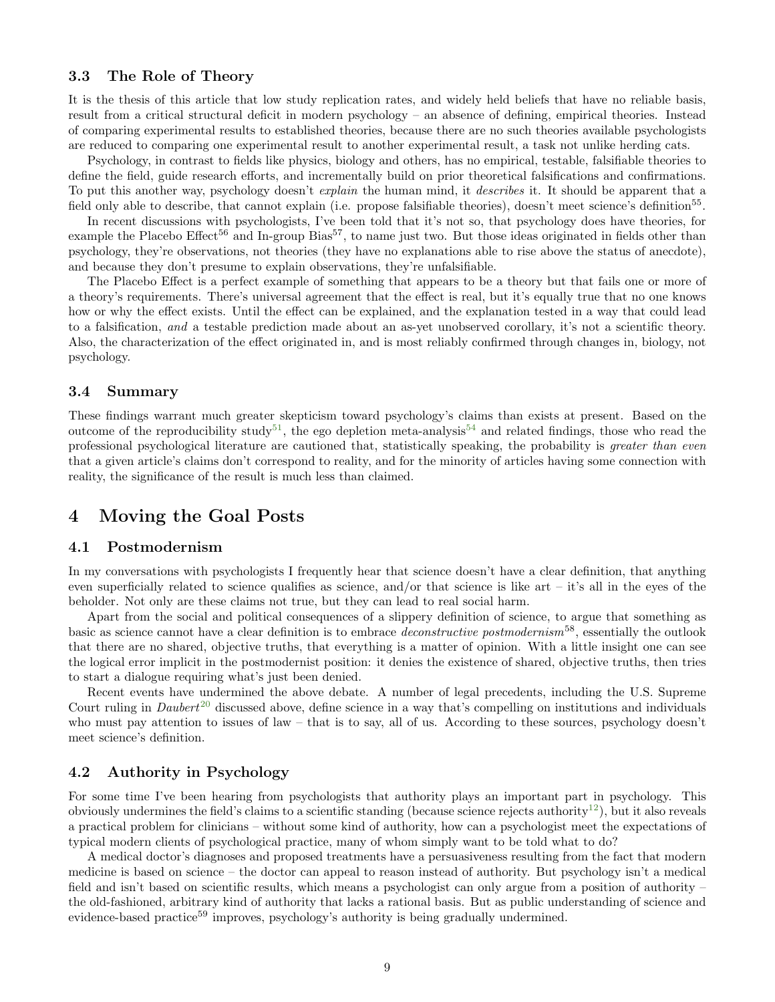### <span id="page-8-0"></span>3.3 The Role of Theory

It is the thesis of this article that low study replication rates, and widely held beliefs that have no reliable basis, result from a critical structural deficit in modern psychology – an absence of defining, empirical theories. Instead of comparing experimental results to established theories, because there are no such theories available psychologists are reduced to comparing one experimental result to another experimental result, a task not unlike herding cats.

Psychology, in contrast to fields like physics, biology and others, has no empirical, testable, falsifiable theories to define the field, guide research efforts, and incrementally build on prior theoretical falsifications and confirmations. To put this another way, psychology doesn't *explain* the human mind, it *describes* it. It should be apparent that a field only able to describe, that cannot explain (i.e. propose falsifiable theories), doesn't meet science's definition<sup>55</sup>.

In recent discussions with psychologists, I've been told that it's not so, that psychology does have theories, for example the Placebo Effect<sup>56</sup> and In-group Bias<sup>57</sup>, to name just two. But those ideas originated in fields other than psychology, they're observations, not theories (they have no explanations able to rise above the status of anecdote), and because they don't presume to explain observations, they're unfalsifiable.

The Placebo Effect is a perfect example of something that appears to be a theory but that fails one or more of a theory's requirements. There's universal agreement that the effect is real, but it's equally true that no one knows how or why the effect exists. Until the effect can be explained, and the explanation tested in a way that could lead to a falsification, and a testable prediction made about an as-yet unobserved corollary, it's not a scientific theory. Also, the characterization of the effect originated in, and is most reliably confirmed through changes in, biology, not psychology.

#### <span id="page-8-1"></span>3.4 Summary

These findings warrant much greater skepticism toward psychology's claims than exists at present. Based on the outcome of the reproducibility study<sup>[51](#page-13-0)</sup>, the ego depletion meta-analysis<sup>[54](#page-13-0)</sup> and related findings, those who read the professional psychological literature are cautioned that, statistically speaking, the probability is greater than even that a given article's claims don't correspond to reality, and for the minority of articles having some connection with reality, the significance of the result is much less than claimed.

## <span id="page-8-2"></span>4 Moving the Goal Posts

#### <span id="page-8-3"></span>4.1 Postmodernism

In my conversations with psychologists I frequently hear that science doesn't have a clear definition, that anything even superficially related to science qualifies as science, and/or that science is like art – it's all in the eyes of the beholder. Not only are these claims not true, but they can lead to real social harm.

Apart from the social and political consequences of a slippery definition of science, to argue that something as basic as science cannot have a clear definition is to embrace *deconstructive postmodernism*<sup>58</sup>, essentially the outlook that there are no shared, objective truths, that everything is a matter of opinion. With a little insight one can see the logical error implicit in the postmodernist position: it denies the existence of shared, objective truths, then tries to start a dialogue requiring what's just been denied.

Recent events have undermined the above debate. A number of legal precedents, including the U.S. Supreme Court ruling in  $Daubert^{20}$  $Daubert^{20}$  $Daubert^{20}$  discussed above, define science in a way that's compelling on institutions and individuals who must pay attention to issues of law – that is to say, all of us. According to these sources, psychology doesn't meet science's definition.

## <span id="page-8-4"></span>4.2 Authority in Psychology

For some time I've been hearing from psychologists that authority plays an important part in psychology. This obviously undermines the field's claims to a scientific standing (because science rejects authority<sup>[12](#page-13-0)</sup>), but it also reveals a practical problem for clinicians – without some kind of authority, how can a psychologist meet the expectations of typical modern clients of psychological practice, many of whom simply want to be told what to do?

A medical doctor's diagnoses and proposed treatments have a persuasiveness resulting from the fact that modern medicine is based on science – the doctor can appeal to reason instead of authority. But psychology isn't a medical field and isn't based on scientific results, which means a psychologist can only argue from a position of authority – the old-fashioned, arbitrary kind of authority that lacks a rational basis. But as public understanding of science and evidence-based practice<sup>59</sup> improves, psychology's authority is being gradually undermined.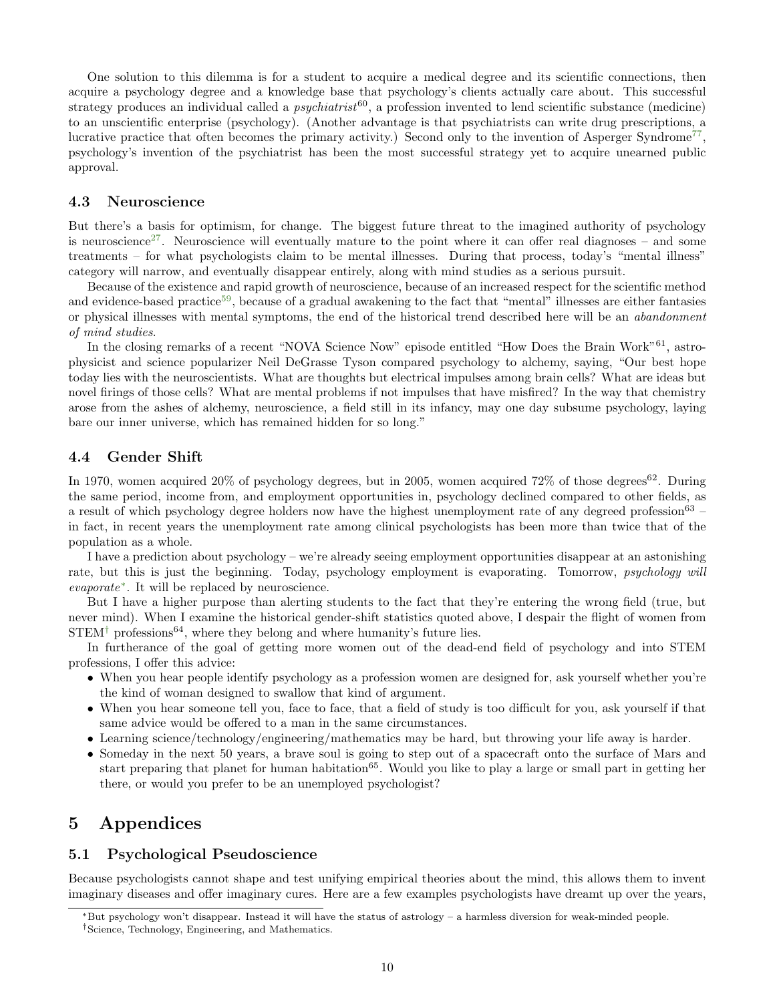One solution to this dilemma is for a student to acquire a medical degree and its scientific connections, then acquire a psychology degree and a knowledge base that psychology's clients actually care about. This successful strategy produces an individual called a *psychiatrist*<sup>60</sup>, a profession invented to lend scientific substance (medicine) to an unscientific enterprise (psychology). (Another advantage is that psychiatrists can write drug prescriptions, a lucrative practice that often becomes the primary activity.) Second only to the invention of Asperger Syndrome<sup>[77](#page-13-0)</sup>, psychology's invention of the psychiatrist has been the most successful strategy yet to acquire unearned public approval.

## <span id="page-9-0"></span>4.3 Neuroscience

But there's a basis for optimism, for change. The biggest future threat to the imagined authority of psychology is neuroscience<sup>[27](#page-13-0)</sup>. Neuroscience will eventually mature to the point where it can offer real diagnoses – and some treatments – for what psychologists claim to be mental illnesses. During that process, today's "mental illness" category will narrow, and eventually disappear entirely, along with mind studies as a serious pursuit.

Because of the existence and rapid growth of neuroscience, because of an increased respect for the scientific method and evidence-based practice<sup>[59](#page-13-0)</sup>, because of a gradual awakening to the fact that "mental" illnesses are either fantasies or physical illnesses with mental symptoms, the end of the historical trend described here will be an abandonment of mind studies.

In the closing remarks of a recent "NOVA Science Now" episode entitled "How Does the Brain Work"<sup>61</sup>, astrophysicist and science popularizer Neil DeGrasse Tyson compared psychology to alchemy, saying, "Our best hope today lies with the neuroscientists. What are thoughts but electrical impulses among brain cells? What are ideas but novel firings of those cells? What are mental problems if not impulses that have misfired? In the way that chemistry arose from the ashes of alchemy, neuroscience, a field still in its infancy, may one day subsume psychology, laying bare our inner universe, which has remained hidden for so long."

#### <span id="page-9-1"></span>4.4 Gender Shift

In 1970, women acquired  $20\%$  of psychology degrees, but in 2005, women acquired 72% of those degrees<sup>62</sup>. During the same period, income from, and employment opportunities in, psychology declined compared to other fields, as a result of which psychology degree holders now have the highest unemployment rate of any degreed profession<sup>63</sup> – in fact, in recent years the unemployment rate among clinical psychologists has been more than twice that of the population as a whole.

I have a prediction about psychology – we're already seeing employment opportunities disappear at an astonishing rate, but this is just the beginning. Today, psychology employment is evaporating. Tomorrow, *psychology will* evaporate[∗](#page-9-4) . It will be replaced by neuroscience.

But I have a higher purpose than alerting students to the fact that they're entering the wrong field (true, but never mind). When I examine the historical gender-shift statistics quoted above, I despair the flight of women from  $\mathrm{STEM}^\dagger$  professions  $^{64}$ , where they belong and where humanity's future lies.

In furtherance of the goal of getting more women out of the dead-end field of psychology and into STEM professions, I offer this advice:

- When you hear people identify psychology as a profession women are designed for, ask yourself whether you're the kind of woman designed to swallow that kind of argument.
- When you hear someone tell you, face to face, that a field of study is too difficult for you, ask yourself if that same advice would be offered to a man in the same circumstances.
- Learning science/technology/engineering/mathematics may be hard, but throwing your life away is harder.
- Someday in the next 50 years, a brave soul is going to step out of a spacecraft onto the surface of Mars and start preparing that planet for human habitation<sup>65</sup>. Would you like to play a large or small part in getting her there, or would you prefer to be an unemployed psychologist?

## <span id="page-9-2"></span>5 Appendices

#### <span id="page-9-3"></span>5.1 Psychological Pseudoscience

Because psychologists cannot shape and test unifying empirical theories about the mind, this allows them to invent imaginary diseases and offer imaginary cures. Here are a few examples psychologists have dreamt up over the years,

<span id="page-9-5"></span><span id="page-9-4"></span><sup>∗</sup>But psychology won't disappear. Instead it will have the status of astrology – a harmless diversion for weak-minded people. †Science, Technology, Engineering, and Mathematics.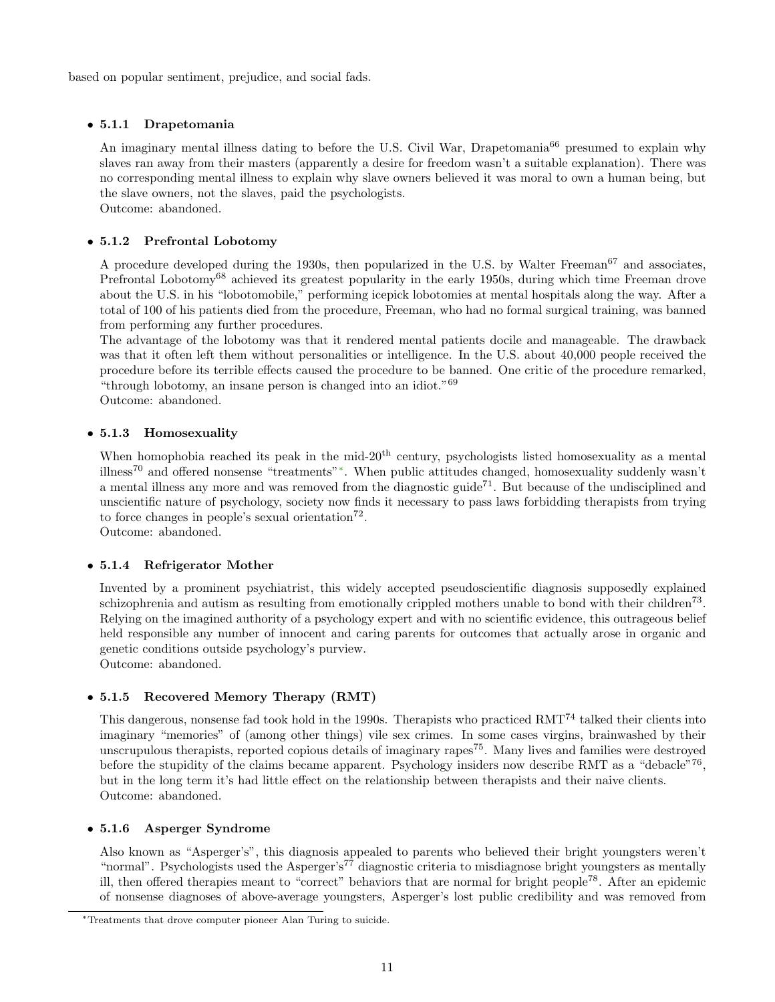based on popular sentiment, prejudice, and social fads.

## <span id="page-10-0"></span>• 5.1.1 Drapetomania

An imaginary mental illness dating to before the U.S. Civil War, Drapetomania<sup>66</sup> presumed to explain why slaves ran away from their masters (apparently a desire for freedom wasn't a suitable explanation). There was no corresponding mental illness to explain why slave owners believed it was moral to own a human being, but the slave owners, not the slaves, paid the psychologists. Outcome: abandoned.

## <span id="page-10-1"></span>• 5.1.2 Prefrontal Lobotomy

A procedure developed during the 1930s, then popularized in the U.S. by Walter Freeman<sup>67</sup> and associates, Prefrontal Lobotomy<sup>68</sup> achieved its greatest popularity in the early 1950s, during which time Freeman drove about the U.S. in his "lobotomobile," performing icepick lobotomies at mental hospitals along the way. After a total of 100 of his patients died from the procedure, Freeman, who had no formal surgical training, was banned from performing any further procedures.

The advantage of the lobotomy was that it rendered mental patients docile and manageable. The drawback was that it often left them without personalities or intelligence. In the U.S. about 40,000 people received the procedure before its terrible effects caused the procedure to be banned. One critic of the procedure remarked, "through lobotomy, an insane person is changed into an idiot."<sup>69</sup>

Outcome: abandoned.

## <span id="page-10-2"></span>• 5.1.3 Homosexuality

When homophobia reached its peak in the mid- $20<sup>th</sup>$  century, psychologists listed homosexuality as a mental illness<sup>70</sup> and offered nonsense "treatments"[∗](#page-10-6) . When public attitudes changed, homosexuality suddenly wasn't a mental illness any more and was removed from the diagnostic guide<sup> $71$ </sup>. But because of the undisciplined and unscientific nature of psychology, society now finds it necessary to pass laws forbidding therapists from trying to force changes in people's sexual orientation<sup>72</sup>.

Outcome: abandoned.

## <span id="page-10-3"></span>• 5.1.4 Refrigerator Mother

Invented by a prominent psychiatrist, this widely accepted pseudoscientific diagnosis supposedly explained schizophrenia and autism as resulting from emotionally crippled mothers unable to bond with their children<sup>73</sup>. Relying on the imagined authority of a psychology expert and with no scientific evidence, this outrageous belief held responsible any number of innocent and caring parents for outcomes that actually arose in organic and genetic conditions outside psychology's purview. Outcome: abandoned.

## <span id="page-10-4"></span>• 5.1.5 Recovered Memory Therapy (RMT)

This dangerous, nonsense fad took hold in the 1990s. Therapists who practiced RMT<sup>74</sup> talked their clients into imaginary "memories" of (among other things) vile sex crimes. In some cases virgins, brainwashed by their unscrupulous therapists, reported copious details of imaginary rapes<sup>75</sup>. Many lives and families were destroyed before the stupidity of the claims became apparent. Psychology insiders now describe RMT as a "debacle"<sup>76</sup>, but in the long term it's had little effect on the relationship between therapists and their naive clients. Outcome: abandoned.

## <span id="page-10-5"></span>• 5.1.6 Asperger Syndrome

Also known as "Asperger's", this diagnosis appealed to parents who believed their bright youngsters weren't "normal". Psychologists used the Asperger's<sup>77</sup> diagnostic criteria to misdiagnose bright youngsters as mentally ill, then offered therapies meant to "correct" behaviors that are normal for bright people<sup>78</sup>. After an epidemic of nonsense diagnoses of above-average youngsters, Asperger's lost public credibility and was removed from

<span id="page-10-6"></span><sup>∗</sup>Treatments that drove computer pioneer Alan Turing to suicide.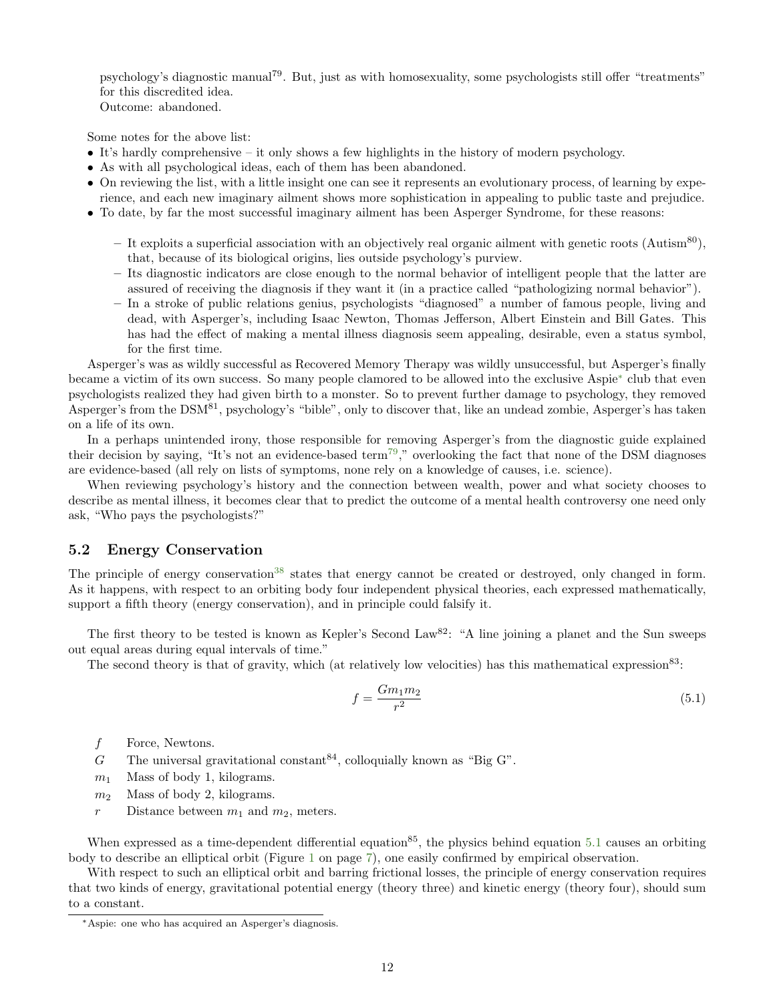psychology's diagnostic manual79. But, just as with homosexuality, some psychologists still offer "treatments" for this discredited idea. Outcome: abandoned.

Some notes for the above list:

- It's hardly comprehensive it only shows a few highlights in the history of modern psychology.
- As with all psychological ideas, each of them has been abandoned.
- On reviewing the list, with a little insight one can see it represents an evolutionary process, of learning by experience, and each new imaginary ailment shows more sophistication in appealing to public taste and prejudice.
- To date, by far the most successful imaginary ailment has been Asperger Syndrome, for these reasons:
	- It exploits a superficial association with an objectively real organic ailment with genetic roots (Autism<sup>80</sup>), that, because of its biological origins, lies outside psychology's purview.
	- Its diagnostic indicators are close enough to the normal behavior of intelligent people that the latter are assured of receiving the diagnosis if they want it (in a practice called "pathologizing normal behavior").
	- In a stroke of public relations genius, psychologists "diagnosed" a number of famous people, living and dead, with Asperger's, including Isaac Newton, Thomas Jefferson, Albert Einstein and Bill Gates. This has had the effect of making a mental illness diagnosis seem appealing, desirable, even a status symbol, for the first time.

Asperger's was as wildly successful as Recovered Memory Therapy was wildly unsuccessful, but Asperger's finally became a victim of its own success. So many people clamored to be allowed into the exclusive Aspie[∗](#page-11-2) club that even psychologists realized they had given birth to a monster. So to prevent further damage to psychology, they removed Asperger's from the DSM<sup>81</sup>, psychology's "bible", only to discover that, like an undead zombie, Asperger's has taken on a life of its own.

In a perhaps unintended irony, those responsible for removing Asperger's from the diagnostic guide explained their decision by saying, "It's not an evidence-based term<sup>[79](#page-13-0)</sup>," overlooking the fact that none of the DSM diagnoses are evidence-based (all rely on lists of symptoms, none rely on a knowledge of causes, i.e. science).

When reviewing psychology's history and the connection between wealth, power and what society chooses to describe as mental illness, it becomes clear that to predict the outcome of a mental health controversy one need only ask, "Who pays the psychologists?"

#### <span id="page-11-0"></span>5.2 Energy Conservation

The principle of energy conservation<sup>[38](#page-13-0)</sup> states that energy cannot be created or destroyed, only changed in form. As it happens, with respect to an orbiting body four independent physical theories, each expressed mathematically, support a fifth theory (energy conservation), and in principle could falsify it.

The first theory to be tested is known as Kepler's Second Law<sup>82</sup>: "A line joining a planet and the Sun sweeps out equal areas during equal intervals of time."

The second theory is that of gravity, which (at relatively low velocities) has this mathematical expression<sup>83</sup>:

<span id="page-11-1"></span>
$$
f = \frac{Gm_1m_2}{r^2} \tag{5.1}
$$

- f Force, Newtons.
- G The universal gravitational constant  $84$ , colloquially known as "Big G".
- $m_1$  Mass of body 1, kilograms.
- $m_2$  Mass of body 2, kilograms.
- r Distance between  $m_1$  and  $m_2$ , meters.

When expressed as a time-dependent differential equation<sup>85</sup>, the physics behind equation [5.1](#page-11-1) causes an orbiting body to describe an elliptical orbit (Figure [1](#page-6-2) on page [7\)](#page-6-2), one easily confirmed by empirical observation.

With respect to such an elliptical orbit and barring frictional losses, the principle of energy conservation requires that two kinds of energy, gravitational potential energy (theory three) and kinetic energy (theory four), should sum to a constant.

<span id="page-11-2"></span><sup>∗</sup>Aspie: one who has acquired an Asperger's diagnosis.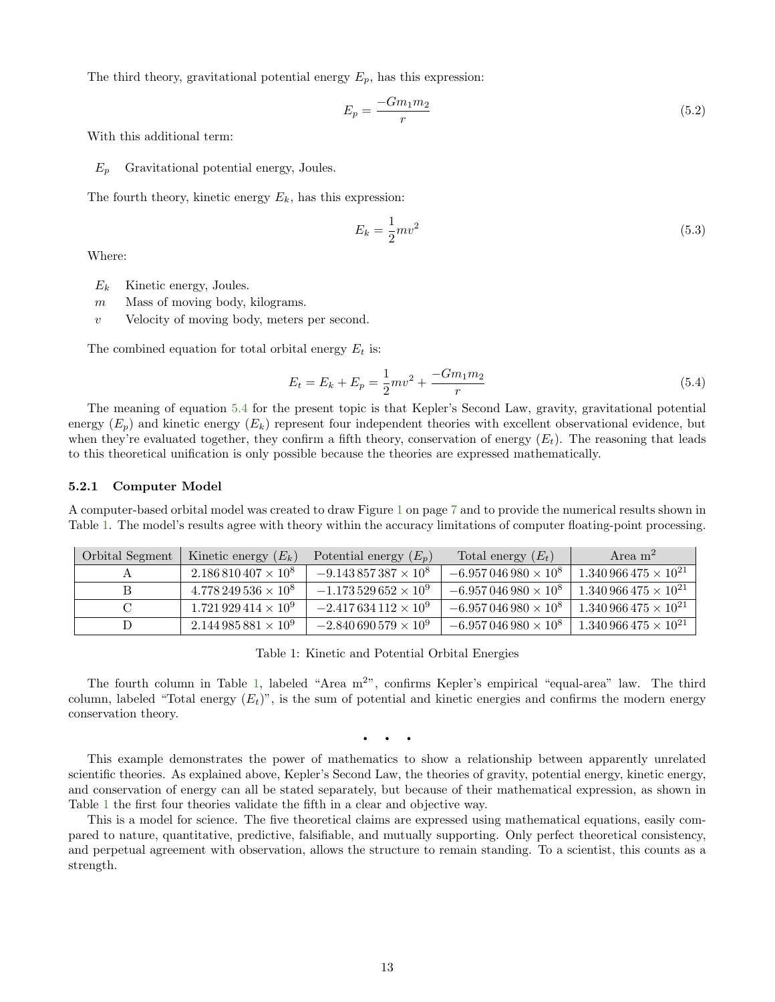The third theory, gravitational potential energy  $E_p$ , has this expression:

$$
E_p = \frac{-Gm_1m_2}{r} \tag{5.2}
$$

With this additional term:

 $E_p$  Gravitational potential energy, Joules.

The fourth theory, kinetic energy  $E_k$ , has this expression:

$$
E_k = \frac{1}{2}mv^2\tag{5.3}
$$

Where:

- $E_k$  Kinetic energy, Joules.
- $m$  Mass of moving body, kilograms.
- $v$  Velocity of moving body, meters per second.

The combined equation for total orbital energy  $E_t$  is:

<span id="page-12-2"></span>
$$
E_t = E_k + E_p = \frac{1}{2}mv^2 + \frac{-Gm_1m_2}{r}
$$
\n(5.4)

The meaning of equation [5.4](#page-12-2) for the present topic is that Kepler's Second Law, gravity, gravitational potential energy  $(E_p)$  and kinetic energy  $(E_k)$  represent four independent theories with excellent observational evidence, but when they're evaluated together, they confirm a fifth theory, conservation of energy  $(E_t)$ . The reasoning that leads to this theoretical unification is only possible because the theories are expressed mathematically.

#### <span id="page-12-0"></span>5.2.1 Computer Model

A computer-based orbital model was created to draw Figure [1](#page-6-2) on page [7](#page-6-2) and to provide the numerical results shown in Table [1.](#page-12-1) The model's results agree with theory within the accuracy limitations of computer floating-point processing.

| Orbital Segment | Kinetic energy $(E_k)$      | Potential energy $(E_p)$     | Total energy $(E_t)$       | Area $m2$                       |
|-----------------|-----------------------------|------------------------------|----------------------------|---------------------------------|
|                 | $2.186810407 \times 10^8$   | $-9.143857387 \times 10^8$   | $-6.957046980\times10^{8}$ | $1.340\,966\,475\times 10^{21}$ |
|                 | $4.778249536 \times 10^8$   | $-1.173529652 \times 10^9$   | $-6.957046980\times10^{8}$ | $1.340\,966\,475\times 10^{21}$ |
|                 | $1.721929414 \times 10^9$   | $-2.417634112 \times 10^{9}$ | $-6.957046980\times10^{8}$ | $1.340\,966\,475\times 10^{21}$ |
|                 | $2.144\,985\,881\times10^9$ | $-2.840690579\times10^{9}$   | $-6.957046980\times10^{8}$ | $1.340\,966\,475\times 10^{21}$ |

Table 1: Kinetic and Potential Orbital Energies

The fourth column in Table [1,](#page-12-1) labeled "Area  $m^2$ ", confirms Kepler's empirical "equal-area" law. The third column, labeled "Total energy  $(E_t)$ ", is the sum of potential and kinetic energies and confirms the modern energy conservation theory.

<span id="page-12-1"></span>• • •

This example demonstrates the power of mathematics to show a relationship between apparently unrelated scientific theories. As explained above, Kepler's Second Law, the theories of gravity, potential energy, kinetic energy, and conservation of energy can all be stated separately, but because of their mathematical expression, as shown in Table [1](#page-12-1) the first four theories validate the fifth in a clear and objective way.

This is a model for science. The five theoretical claims are expressed using mathematical equations, easily compared to nature, quantitative, predictive, falsifiable, and mutually supporting. Only perfect theoretical consistency, and perpetual agreement with observation, allows the structure to remain standing. To a scientist, this counts as a strength.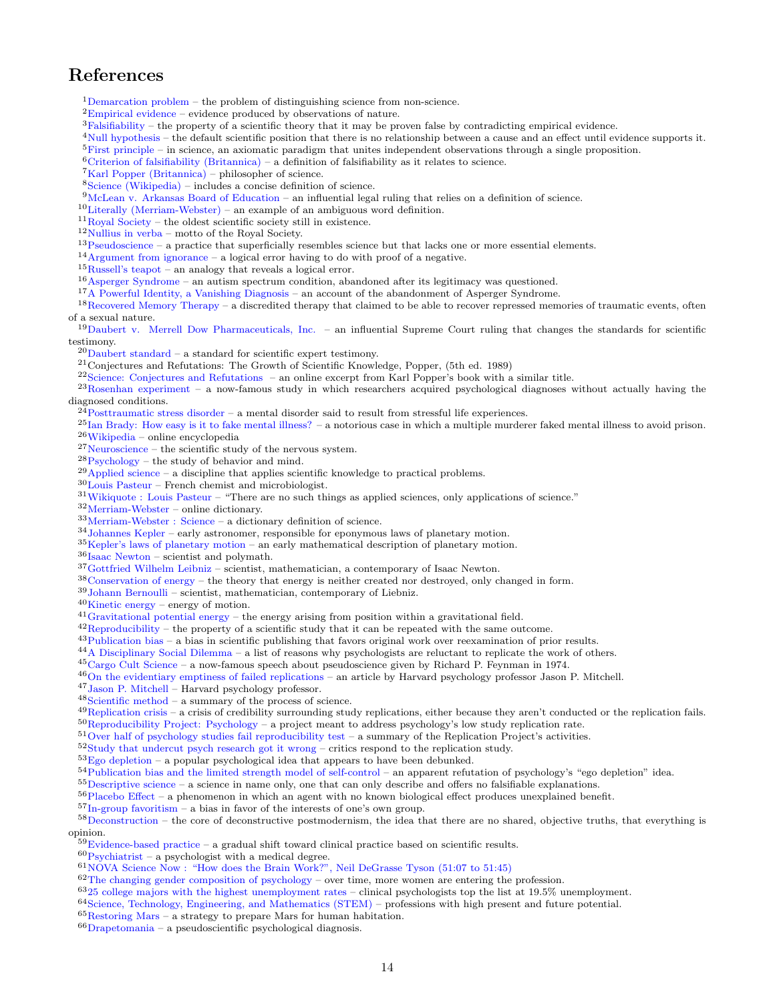# <span id="page-13-0"></span>References

[Demarcation problem](https://en.wikipedia.org/wiki/Demarcation_problem) – the problem of distinguishing science from non-science.

- ${}^{2}$ [Empirical evidence](https://en.wikipedia.org/wiki/Empirical_evidence) evidence produced by observations of nature.
- ${}^{3}$ [Falsifiability](https://en.wikipedia.org/wiki/Falsifiability) the property of a scientific theory that it may be proven false by contradicting empirical evidence.

[Null hypothesis](https://en.wikipedia.org/wiki/Null_hypothesis) – the default scientific position that there is no relationship between a cause and an effect until evidence supports it.

[First principle](https://en.wikipedia.org/wiki/First_principle) – in science, an axiomatic paradigm that unites independent observations through a single proposition.

- [Criterion of falsifiability \(Britannica\)](http://www.britannica.com/topic/criterion-of-falsifiability) a definition of falsifiability as it relates to science.
- ${}^{7}$ [Karl Popper \(Britannica\)](http://www.britannica.com/biography/Karl-Popper) philosopher of science.
- [Science \(Wikipedia\)](https://en.wikipedia.org/wiki/Science) includes a concise definition of science.

[McLean v. Arkansas Board of Education](http://en.wikipedia.org/wiki/McLean_v._Arkansas) – an influential legal ruling that relies on a definition of science.

 $^{10}$  [Literally \(Merriam-Webster\)](http://www.merriam-webster.com/dictionary/literally) – an example of an ambiguous word definition.

[Royal Society](https://en.wikipedia.org/wiki/Royal_Society) – the oldest scientific society still in existence.

- [Nullius in verba](https://en.wikipedia.org/wiki/Nullius_in_verba) motto of the Royal Society.
- [Pseudoscience](https://en.wikipedia.org/wiki/Pseudoscience) a practice that superficially resembles science but that lacks one or more essential elements.

[Argument from ignorance](https://en.wikipedia.org/wiki/Argument_from_ignorance) – a logical error having to do with proof of a negative.

 $^{15}\mathrm{Russell's}\$  teapot – an analogy that reveals a logical error.

[Asperger Syndrome](https://en.wikipedia.org/wiki/Asperger_syndrome) – an autism spectrum condition, abandoned after its legitimacy was questioned.

<sup>17</sup>[A Powerful Identity, a Vanishing Diagnosis](http://www.nytimes.com/2009/11/03/health/03asperger.html?_r=0) – an account of the abandonment of Asperger Syndrome.

[Recovered Memory Therapy](https://en.wikipedia.org/wiki/Recovered-memory_therapy) – a discredited therapy that claimed to be able to recover repressed memories of traumatic events, often of a sexual nature.

<sup>19</sup>[Daubert v. Merrell Dow Pharmaceuticals, Inc.](https://en.wikipedia.org/wiki/Daubert_v._Merrell_Dow_Pharmaceuticals,_Inc.) - an influential Supreme Court ruling that changes the standards for scientific testimony.

[Daubert standard](https://en.wikipedia.org/wiki/Daubert_standard) – a standard for scientific expert testimony.

Conjectures and Refutations: The Growth of Scientific Knowledge, Popper, (5th ed. 1989)

[Science: Conjectures and Refutations](http://worthylab.tamu.edu/Courses_files/Popper_ConjecturesandRefutations.pdf) – an online excerpt from Karl Popper's book with a similar title.

<sup>23</sup>[Rosenhan experiment](https://en.wikipedia.org/wiki/Rosenhan_experiment) – a now-famous study in which researchers acquired psychological diagnoses without actually having the diagnosed conditions.

[Posttraumatic stress disorder](https://en.wikipedia.org/wiki/Posttraumatic_stress_disorder) – a mental disorder said to result from stressful life experiences.

 $^{25}$ [Ian Brady: How easy is it to fake mental illness?](http://www.bbc.com/news/magazine-23063124) – a notorious case in which a multiple murderer faked mental illness to avoid prison. [Wikipedia](https://en.wikipedia.org) – online encyclopedia

 $^{27}\rm{Neuro}$  – the scientific study of the nervous system.

[Psychology](https://en.wikipedia.org/wiki/Psychology) – the study of behavior and mind.

 $^{29}$ [Applied science](https://en.wikipedia.org/wiki/Applied_science) – a discipline that applies scientific knowledge to practical problems.

[Louis Pasteur](https://en.wikipedia.org/wiki/Louis_Pasteur) – French chemist and microbiologist.

[Wikiquote : Louis Pasteur](https://en.wikiquote.org/wiki/Louis_Pasteur) – "There are no such things as applied sciences, only applications of science."

[Merriam-Webster](http://www.merriam-webster.com/) – online dictionary.

 $^{33}\rm{Merriam-Webster}$  : Science – a dictionary definition of science.

[Johannes Kepler](https://en.wikipedia.org/wiki/Johannes_Kepler) – early astronomer, responsible for eponymous laws of planetary motion.

[Kepler's laws of planetary motion](https://en.wikipedia.org/wiki/Kepler%27s_laws_of_planetary_motion) – an early mathematical description of planetary motion.

[Isaac Newton](https://en.wikipedia.org/wiki/Isaac_Newton) – scientist and polymath.

[Gottfried Wilhelm Leibniz](https://en.wikipedia.org/wiki/Gottfried_Wilhelm_Leibniz) – scientist, mathematician, a contemporary of Isaac Newton.

[Conservation of energy](https://en.wikipedia.org/wiki/Conservation_of_energy) – the theory that energy is neither created nor destroyed, only changed in form.

[Johann Bernoulli](https://en.wikipedia.org/wiki/Johann_Bernoulli) – scientist, mathematician, contemporary of Liebniz.

[Kinetic energy](https://en.wikipedia.org/wiki/Kinetic_energy) – energy of motion.

[Gravitational potential energy](https://en.wikipedia.org/wiki/Potential_energy#General_formula) – the energy arising from position within a gravitational field.

 $^{42}$ [Reproducibility](https://en.wikipedia.org/wiki/Reproducibility) – the property of a scientific study that it can be repeated with the same outcome.

[Publication bias](https://en.wikipedia.org/wiki/Publication_bias) – a bias in scientific publishing that favors original work over reexamination of prior results.

[A Disciplinary Social Dilemma](https://en.wikipedia.org/wiki/Replication_crisis#A_disciplinary_social_dilemma) – a list of reasons why psychologists are reluctant to replicate the work of others.

[Cargo Cult Science](http://calteches.library.caltech.edu/51/2/CargoCult.htm) – a now-famous speech about pseudoscience given by Richard P. Feynman in 1974.

[On the evidentiary emptiness of failed replications](http://jasonmitchell.fas.harvard.edu/Papers/Mitchell_failed_science_2014.pdf) – an article by Harvard psychology professor Jason P. Mitchell.

[Jason P. Mitchell](http://psychology.fas.harvard.edu/people/jason-p-mitchell) – Harvard psychology professor.

 $^{48}\rm{Scientific}$  method – a summary of the process of science.

 $^{49}$ [Replication crisis](https://en.wikipedia.org/wiki/Replication_crisis) – a crisis of credibility surrounding study replications, either because they aren't conducted or the replication fails. [Reproducibility Project: Psychology](https://osf.io/ezcuj/) – a project meant to address psychology's low study replication rate.

[Over half of psychology studies fail reproducibility test](http://www.nature.com/news/over-half-of-psychology-studies-fail-reproducibility-test-1.18248) – a summary of the Replication Project's activities.

[Study that undercut psych research got it wrong](http://news.harvard.edu/gazette/story/2016/03/study-that-undercut-psych-research-got-it-wrong/) – critics respond to the replication study.

 $53Ego$  depletion – a popular psychological idea that appears to have been debunked.

[Publication bias and the limited strength model of self-control](http://www.psy.miami.edu/faculty/mmccullough/Papers/Carter_McCullough_EgoDepl_PubBias_Frontiers.pdf) – an apparent refutation of psychology's "ego depletion" idea.

[Descriptive science](https://en.wikipedia.org/wiki/Descriptive_science) – a science in name only, one that can only describe and offers no falsifiable explanations.

[Placebo Effect](https://en.wikipedia.org/wiki/Placebo) – a phenomenon in which an agent with no known biological effect produces unexplained benefit.

[In-group favoritism](https://en.wikipedia.org/wiki/In-group_favoritism) – a bias in favor of the interests of one's own group.

[Deconstruction](https://en.wikipedia.org/wiki/Deconstruction) – the core of deconstructive postmodernism, the idea that there are no shared, objective truths, that everything is opinion.

[Evidence-based practice](https://en.wikipedia.org/wiki/Evidence-based_practice) – a gradual shift toward clinical practice based on scientific results.

 ${}^{60}$ [Psychiatrist](https://en.wikipedia.org/wiki/Psychiatrist) – a psychologist with a medical degree.

[NOVA Science Now : "How does the Brain Work?", Neil DeGrasse Tyson \(51:07 to 51:45\)](http://www.youtube.com/watch?v=qnwyEDiiNpc&t=51m07s)

[The changing gender composition of psychology](http://www.apa.org/monitor/jun07/changing.aspx) – over time, more women are entering the profession.

[25 college majors with the highest unemployment rates](http://www.cbsnews.com/news/25-college-majors-with-the-highest-unemployment-rates/) – clinical psychologists top the list at 19.5% unemployment.

[Science, Technology, Engineering, and Mathematics \(STEM\)](https://en.wikipedia.org/wiki/Science,_Technology,_Engineering,_and_Mathematics) – professions with high present and future potential.

[Restoring Mars](http://arachnoid.com/restoring_mars) – a strategy to prepare Mars for human habitation.

 $66D$ rapetomania – a pseudoscientific psychological diagnosis.